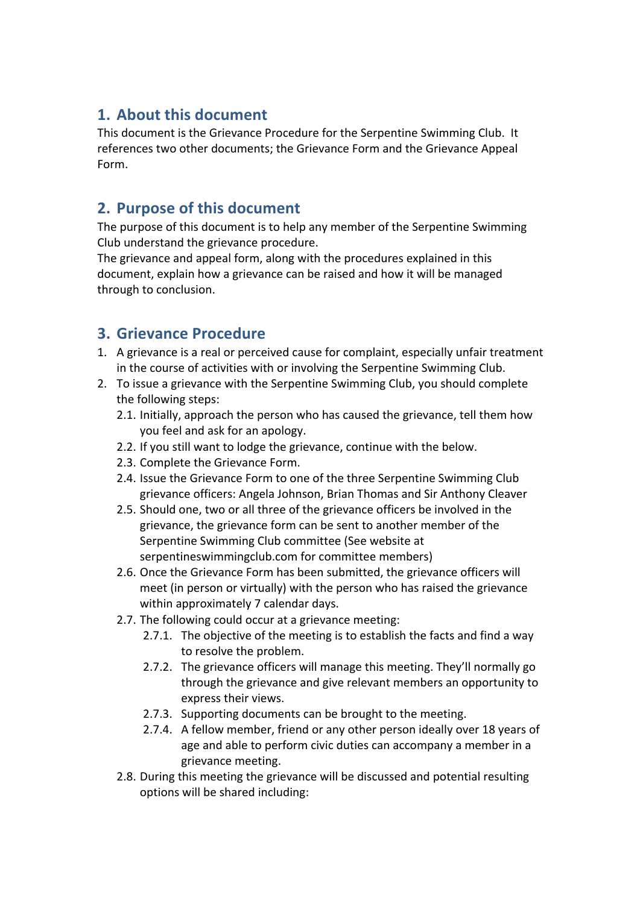### **1. About this document**

This document is the Grievance Procedure for the Serpentine Swimming Club. It references two other documents; the Grievance Form and the Grievance Appeal Form.

### **2. Purpose of this document**

The purpose of this document is to help any member of the Serpentine Swimming Club understand the grievance procedure.

The grievance and appeal form, along with the procedures explained in this document, explain how a grievance can be raised and how it will be managed through to conclusion.

# **3. Grievance Procedure**

- 1. A grievance is a real or perceived cause for complaint, especially unfair treatment in the course of activities with or involving the Serpentine Swimming Club.
- 2. To issue a grievance with the Serpentine Swimming Club, you should complete the following steps:
	- 2.1. Initially, approach the person who has caused the grievance, tell them how you feel and ask for an apology.
	- 2.2. If you still want to lodge the grievance, continue with the below.
	- 2.3. Complete the Grievance Form.
	- 2.4. Issue the Grievance Form to one of the three Serpentine Swimming Club grievance officers: Angela Johnson, Brian Thomas and Sir Anthony Cleaver
	- 2.5. Should one, two or all three of the grievance officers be involved in the grievance, the grievance form can be sent to another member of the Serpentine Swimming Club committee (See website at serpentineswimmingclub.com for committee members)
	- 2.6. Once the Grievance Form has been submitted, the grievance officers will meet (in person or virtually) with the person who has raised the grievance within approximately 7 calendar days.
	- 2.7. The following could occur at a grievance meeting:
		- 2.7.1. The objective of the meeting is to establish the facts and find a way to resolve the problem.
		- 2.7.2. The grievance officers will manage this meeting. They'll normally go through the grievance and give relevant members an opportunity to express their views.
		- 2.7.3. Supporting documents can be brought to the meeting.
		- 2.7.4. A fellow member, friend or any other person ideally over 18 years of age and able to perform civic duties can accompany a member in a grievance meeting.
	- 2.8. During this meeting the grievance will be discussed and potential resulting options will be shared including: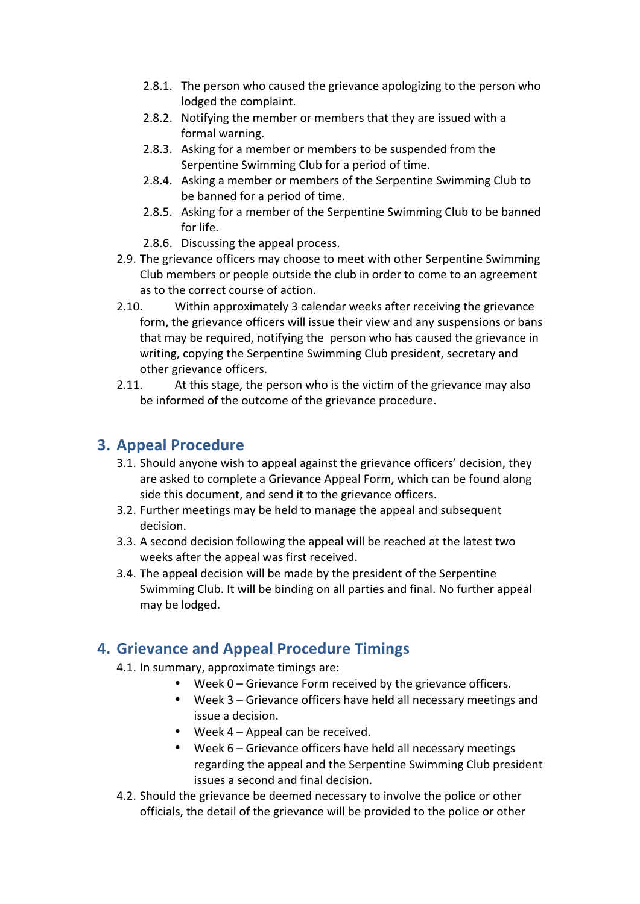- 2.8.1. The person who caused the grievance apologizing to the person who lodged the complaint.
- 2.8.2. Notifying the member or members that they are issued with a formal warning.
- 2.8.3. Asking for a member or members to be suspended from the Serpentine Swimming Club for a period of time.
- 2.8.4. Asking a member or members of the Serpentine Swimming Club to be banned for a period of time.
- 2.8.5. Asking for a member of the Serpentine Swimming Club to be banned for life.
- 2.8.6. Discussing the appeal process.
- 2.9. The grievance officers may choose to meet with other Serpentine Swimming Club members or people outside the club in order to come to an agreement as to the correct course of action.
- 2.10. Within approximately 3 calendar weeks after receiving the grievance form, the grievance officers will issue their view and any suspensions or bans that may be required, notifying the person who has caused the grievance in writing, copying the Serpentine Swimming Club president, secretary and other grievance officers.
- 2.11. At this stage, the person who is the victim of the grievance may also be informed of the outcome of the grievance procedure.

## **3. Appeal Procedure**

- 3.1. Should anyone wish to appeal against the grievance officers' decision, they are asked to complete a Grievance Appeal Form, which can be found along side this document, and send it to the grievance officers.
- 3.2. Further meetings may be held to manage the appeal and subsequent decision.
- 3.3. A second decision following the appeal will be reached at the latest two weeks after the appeal was first received.
- 3.4. The appeal decision will be made by the president of the Serpentine Swimming Club. It will be binding on all parties and final. No further appeal may be lodged.

# **4. Grievance and Appeal Procedure Timings**

- 4.1. In summary, approximate timings are:
	- Week  $0 -$  Grievance Form received by the grievance officers.
	- Week 3 Grievance officers have held all necessary meetings and issue a decision.
	- Week  $4 -$  Appeal can be received.
	- Week 6 Grievance officers have held all necessary meetings regarding the appeal and the Serpentine Swimming Club president issues a second and final decision.
- 4.2. Should the grievance be deemed necessary to involve the police or other officials, the detail of the grievance will be provided to the police or other